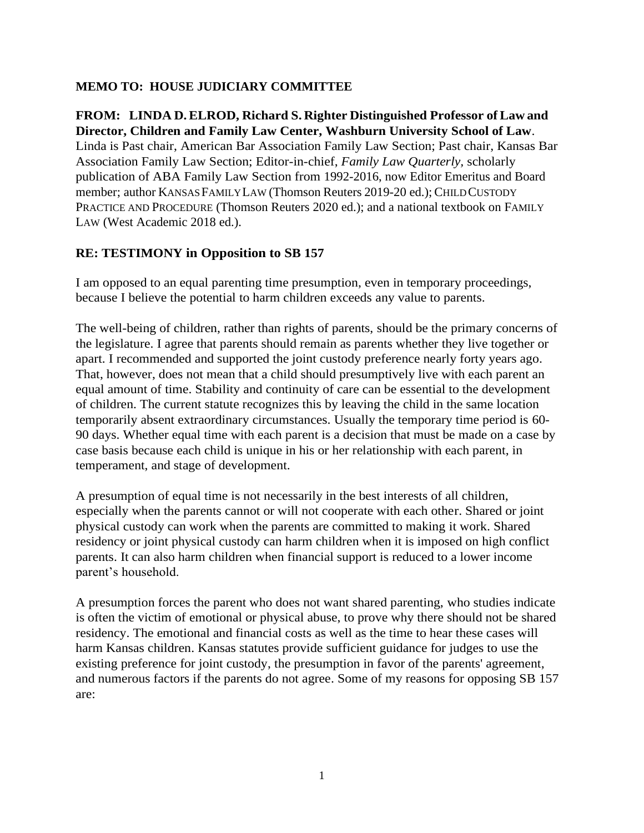## **MEMO TO: HOUSE JUDICIARY COMMITTEE**

### **FROM: LINDA D.ELROD, Richard S. Righter Distinguished Professor of Law and Director, Children and Family Law Center, Washburn University School of Law**.

Linda is Past chair, American Bar Association Family Law Section; Past chair, Kansas Bar Association Family Law Section; Editor-in-chief, *Family Law Quarterly,* scholarly publication of ABA Family Law Section from 1992-2016, now Editor Emeritus and Board member; author KANSAS FAMILYLAW (Thomson Reuters 2019-20 ed.); CHILDCUSTODY PRACTICE AND PROCEDURE (Thomson Reuters 2020 ed.); and a national textbook on FAMILY LAW (West Academic 2018 ed.).

### **RE: TESTIMONY in Opposition to SB 157**

I am opposed to an equal parenting time presumption, even in temporary proceedings, because I believe the potential to harm children exceeds any value to parents.

The well-being of children, rather than rights of parents, should be the primary concerns of the legislature. I agree that parents should remain as parents whether they live together or apart. I recommended and supported the joint custody preference nearly forty years ago. That, however, does not mean that a child should presumptively live with each parent an equal amount of time. Stability and continuity of care can be essential to the development of children. The current statute recognizes this by leaving the child in the same location temporarily absent extraordinary circumstances. Usually the temporary time period is 60- 90 days. Whether equal time with each parent is a decision that must be made on a case by case basis because each child is unique in his or her relationship with each parent, in temperament, and stage of development.

A presumption of equal time is not necessarily in the best interests of all children, especially when the parents cannot or will not cooperate with each other. Shared or joint physical custody can work when the parents are committed to making it work. Shared residency or joint physical custody can harm children when it is imposed on high conflict parents. It can also harm children when financial support is reduced to a lower income parent's household.

A presumption forces the parent who does not want shared parenting, who studies indicate is often the victim of emotional or physical abuse, to prove why there should not be shared residency. The emotional and financial costs as well as the time to hear these cases will harm Kansas children. Kansas statutes provide sufficient guidance for judges to use the existing preference for joint custody, the presumption in favor of the parents' agreement, and numerous factors if the parents do not agree. Some of my reasons for opposing SB 157 are: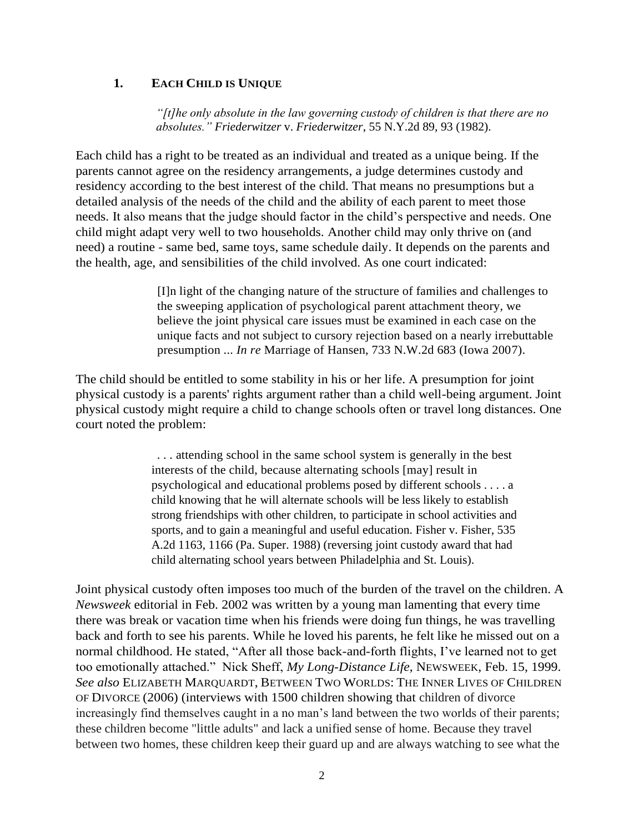#### **1. EACH CHILD IS UNIQUE**

*"[t]he only absolute in the law governing custody of children is that there are no absolutes." Friederwitzer* v. *Friederwitzer*, 55 N.Y.2d 89, 93 (1982).

Each child has a right to be treated as an individual and treated as a unique being. If the parents cannot agree on the residency arrangements, a judge determines custody and residency according to the best interest of the child. That means no presumptions but a detailed analysis of the needs of the child and the ability of each parent to meet those needs. It also means that the judge should factor in the child's perspective and needs. One child might adapt very well to two households. Another child may only thrive on (and need) a routine - same bed, same toys, same schedule daily. It depends on the parents and the health, age, and sensibilities of the child involved. As one court indicated:

> [I]n light of the changing nature of the structure of families and challenges to the sweeping application of psychological parent attachment theory, we believe the joint physical care issues must be examined in each case on the unique facts and not subject to cursory rejection based on a nearly irrebuttable presumption ... *In re* Marriage of Hansen, 733 N.W.2d 683 (Iowa 2007).

The child should be entitled to some stability in his or her life. A presumption for joint physical custody is a parents' rights argument rather than a child well-being argument. Joint physical custody might require a child to change schools often or travel long distances. One court noted the problem:

> . . . attending school in the same school system is generally in the best interests of the child, because alternating schools [may] result in psychological and educational problems posed by different schools . . . . a child knowing that he will alternate schools will be less likely to establish strong friendships with other children, to participate in school activities and sports, and to gain a meaningful and useful education. Fisher v. Fisher, 535 A.2d 1163, 1166 (Pa. Super. 1988) (reversing joint custody award that had child alternating school years between Philadelphia and St. Louis).

Joint physical custody often imposes too much of the burden of the travel on the children. A *Newsweek* editorial in Feb. 2002 was written by a young man lamenting that every time there was break or vacation time when his friends were doing fun things, he was travelling back and forth to see his parents. While he loved his parents, he felt like he missed out on a normal childhood. He stated, "After all those back-and-forth flights, I've learned not to get too emotionally attached." Nick Sheff, *My Long-Distance Life*, NEWSWEEK, Feb. 15, 1999. *See also* ELIZABETH MARQUARDT, BETWEEN TWO WORLDS: THE INNER LIVES OF CHILDREN OF DIVORCE (2006) (interviews with 1500 children showing that children of divorce increasingly find themselves caught in a no man's land between the two worlds of their parents; these children become "little adults" and lack a unified sense of home. Because they travel between two homes, these children keep their guard up and are always watching to see what the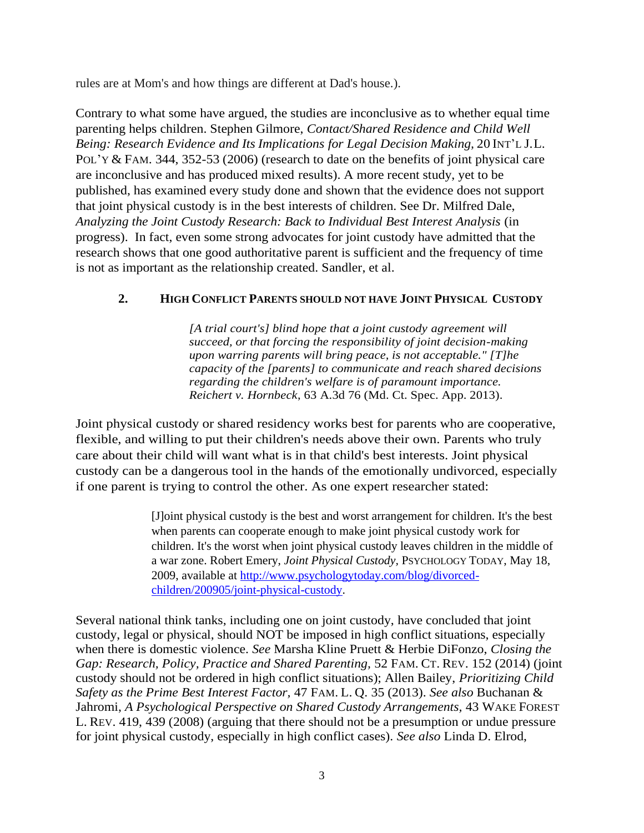rules are at Mom's and how things are different at Dad's house.).

Contrary to what some have argued, the studies are inconclusive as to whether equal time parenting helps children. Stephen Gilmore, *Contact/Shared Residence and Child Well Being: Research Evidence and Its Implications for Legal Decision Making,* 20 INT'L J.L. POL'Y & FAM. 344, 352-53 (2006) (research to date on the benefits of joint physical care are inconclusive and has produced mixed results). A more recent study, yet to be published, has examined every study done and shown that the evidence does not support that joint physical custody is in the best interests of children. See Dr. Milfred Dale, *Analyzing the Joint Custody Research: Back to Individual Best Interest Analysis* (in progress). In fact, even some strong advocates for joint custody have admitted that the research shows that one good authoritative parent is sufficient and the frequency of time is not as important as the relationship created. Sandler, et al.

## **2. HIGH CONFLICT PARENTS SHOULD NOT HAVE JOINT PHYSICAL CUSTODY**

*[A trial court's] blind hope that a joint custody agreement will succeed, or that forcing the responsibility of joint decision-making upon warring parents will bring peace, is not acceptable." [T]he capacity of the [parents] to communicate and reach shared decisions regarding the children's welfare is of paramount importance. Reichert v. Hornbeck*, 63 A.3d 76 (Md. Ct. Spec. App. 2013).

Joint physical custody or shared residency works best for parents who are cooperative, flexible, and willing to put their children's needs above their own. Parents who truly care about their child will want what is in that child's best interests. Joint physical custody can be a dangerous tool in the hands of the emotionally undivorced, especially if one parent is trying to control the other. As one expert researcher stated:

> [J]oint physical custody is the best and worst arrangement for children. It's the best when parents can cooperate enough to make joint physical custody work for children. It's the worst when joint physical custody leaves children in the middle of a war zone. Robert Emery, *Joint Physical Custody,* PSYCHOLOGY TODAY, May 18, 2009, available at [http://www.psychologytoday.com/blog/divorced](http://www.psychologytoday.com/blog/divorced-children/200905/joint-physical-custody)[children/200905/joint-physical-custody.](http://www.psychologytoday.com/blog/divorced-children/200905/joint-physical-custody)

Several national think tanks, including one on joint custody, have concluded that joint custody, legal or physical, should NOT be imposed in high conflict situations, especially when there is domestic violence. *See* Marsha Kline Pruett & Herbie DiFonzo, *Closing the Gap: Research, Policy, Practice and Shared Parenting,* 52 FAM. CT. REV. 152 (2014) (joint custody should not be ordered in high conflict situations); Allen Bailey, *Prioritizing Child Safety as the Prime Best Interest Factor,* 47 FAM. L. Q. 35 (2013). *See also* Buchanan & Jahromi, *A Psychological Perspective on Shared Custody Arrangements,* 43 WAKE FOREST L. REV. 419, 439 (2008) (arguing that there should not be a presumption or undue pressure for joint physical custody, especially in high conflict cases). *See also* Linda D. Elrod,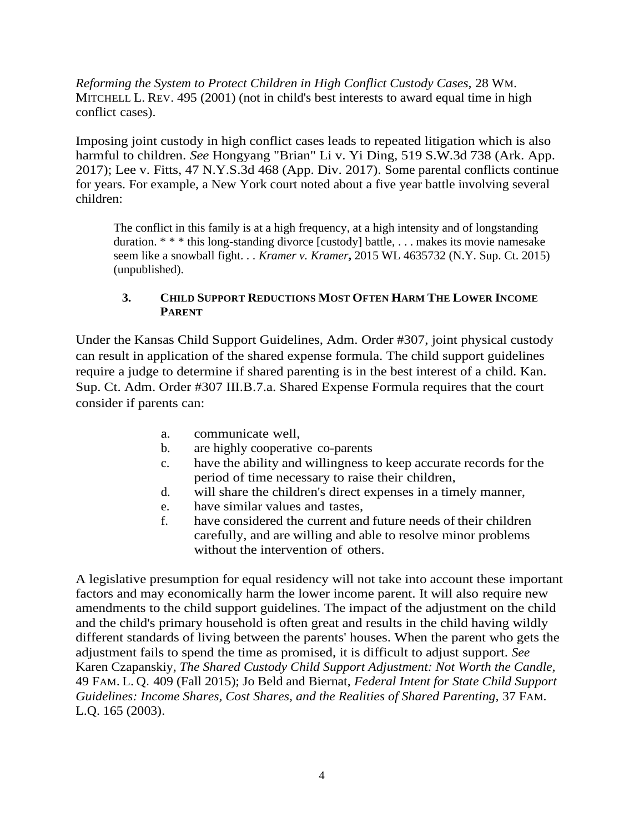*Reforming the System to Protect Children in High Conflict Custody Cases,* 28 WM. MITCHELL L. REV. 495 (2001) (not in child's best interests to award equal time in high conflict cases).

Imposing joint custody in high conflict cases leads to repeated litigation which is also harmful to children. *See* Hongyang "Brian" Li v. Yi Ding, 519 S.W.3d 738 (Ark. App. 2017); Lee v. Fitts, 47 N.Y.S.3d 468 (App. Div. 2017). Some parental conflicts continue for years. For example, a New York court noted about a five year battle involving several children:

The conflict in this family is at a high frequency, at a high intensity and of longstanding duration. \* \* \* this long-standing divorce [custody] battle, . . . makes its movie namesake seem like a snowball fight. . . *Kramer v. Kramer***,** 2015 WL 4635732 (N.Y. Sup. Ct. 2015) (unpublished).

### **3. CHILD SUPPORT REDUCTIONS MOST OFTEN HARM THE LOWER INCOME PARENT**

Under the Kansas Child Support Guidelines, Adm. Order #307, joint physical custody can result in application of the shared expense formula. The child support guidelines require a judge to determine if shared parenting is in the best interest of a child. Kan. Sup. Ct. Adm. Order #307 III.B.7.a. Shared Expense Formula requires that the court consider if parents can:

- a. communicate well,
- b. are highly cooperative co-parents
- c. have the ability and willingness to keep accurate records for the period of time necessary to raise their children,
- d. will share the children's direct expenses in a timely manner,
- e. have similar values and tastes,
- f. have considered the current and future needs of their children carefully, and are willing and able to resolve minor problems without the intervention of others.

A legislative presumption for equal residency will not take into account these important factors and may economically harm the lower income parent. It will also require new amendments to the child support guidelines. The impact of the adjustment on the child and the child's primary household is often great and results in the child having wildly different standards of living between the parents' houses. When the parent who gets the adjustment fails to spend the time as promised, it is difficult to adjust support. *See* Karen Czapanskiy, *The Shared Custody Child Support Adjustment: Not Worth the Candle,*  49 FAM. L. Q. 409 (Fall 2015); Jo Beld and Biernat, *Federal Intent for State Child Support Guidelines: Income Shares, Cost Shares, and the Realities of Shared Parenting,* 37 FAM. L.Q. 165 (2003).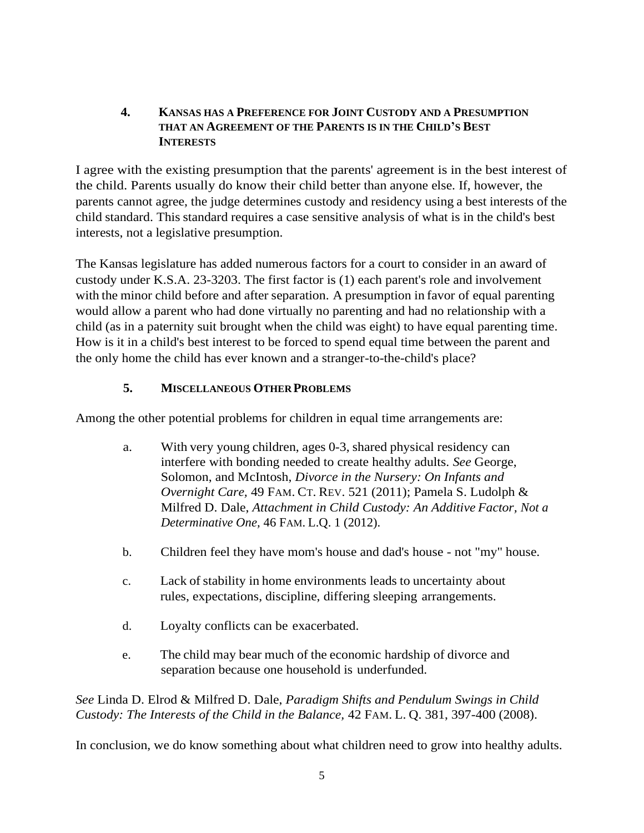### **4. KANSAS HAS A PREFERENCE FOR JOINT CUSTODY AND A PRESUMPTION THAT AN AGREEMENT OF THE PARENTS IS IN THE CHILD'S BEST INTERESTS**

I agree with the existing presumption that the parents' agreement is in the best interest of the child. Parents usually do know their child better than anyone else. If, however, the parents cannot agree, the judge determines custody and residency using a best interests of the child standard. This standard requires a case sensitive analysis of what is in the child's best interests, not a legislative presumption.

The Kansas legislature has added numerous factors for a court to consider in an award of custody under K.S.A. 23-3203. The first factor is (1) each parent's role and involvement with the minor child before and after separation. A presumption in favor of equal parenting would allow a parent who had done virtually no parenting and had no relationship with a child (as in a paternity suit brought when the child was eight) to have equal parenting time. How is it in a child's best interest to be forced to spend equal time between the parent and the only home the child has ever known and a stranger-to-the-child's place?

# **5. MISCELLANEOUS OTHER PROBLEMS**

Among the other potential problems for children in equal time arrangements are:

- a. With very young children, ages 0-3, shared physical residency can interfere with bonding needed to create healthy adults. *See* George, Solomon, and McIntosh, *Divorce in the Nursery: On Infants and Overnight Care,* 49 FAM. CT. REV. 521 (2011); Pamela S. Ludolph & Milfred D. Dale, *Attachment in Child Custody: An Additive Factor, Not a Determinative One,* 46 FAM. L.Q. 1 (2012).
- b. Children feel they have mom's house and dad's house not "my" house.
- c. Lack of stability in home environments leads to uncertainty about rules, expectations, discipline, differing sleeping arrangements.
- d. Loyalty conflicts can be exacerbated.
- e. The child may bear much of the economic hardship of divorce and separation because one household is underfunded.

*See* Linda D. Elrod & Milfred D. Dale, *Paradigm Shifts and Pendulum Swings in Child Custody: The Interests of the Child in the Balance,* 42 FAM. L. Q. 381, 397-400 (2008).

In conclusion, we do know something about what children need to grow into healthy adults.